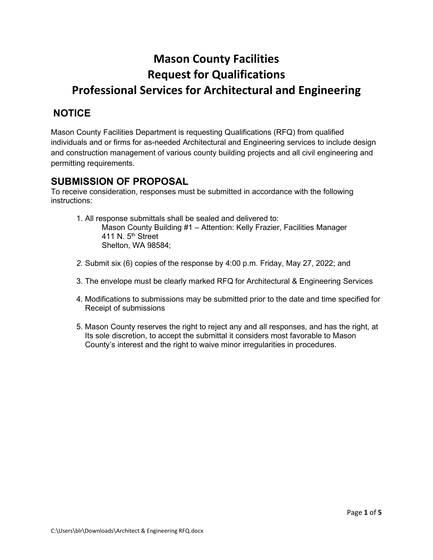# **Mason County Facilities Request for Qualifications Professional Services for Architectural and Engineering**

# **NOTICE**

Mason County Facilities Department is requesting Qualifications (RFQ) from qualified individuals and or firms for as-needed Architectural and Engineering services to include design and construction management of various county building projects and all civil engineering and permitting requirements.

# **SUBMISSION OF PROPOSAL**

To receive consideration, responses must be submitted in accordance with the following instructions:

- 1. All response submittals shall be sealed and delivered to: Mason County Building #1 – Attention: Kelly Frazier, Facilities Manager 411 N.  $5<sup>th</sup>$  Street Shelton, WA 98584;
- *2.* Submit six (6) copies of the response by 4:00 p.m. Friday, May 27, 2022; and
- 3. The envelope must be clearly marked RFQ for Architectural & Engineering Services
- 4. Modifications to submissions may be submitted prior to the date and time specified for Receipt of submissions
- 5. Mason County reserves the right to reject any and all responses, and has the right, at Its sole discretion, to accept the submittal it considers most favorable to Mason County's interest and the right to waive minor irregularities in procedures.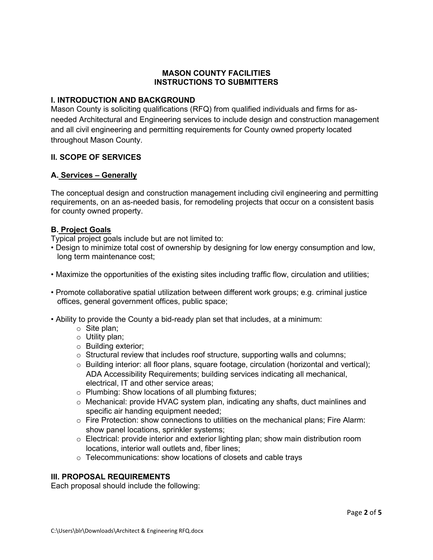# **MASON COUNTY FACILITIES INSTRUCTIONS TO SUBMITTERS**

# **I. INTRODUCTION AND BACKGROUND**

Mason County is soliciting qualifications (RFQ) from qualified individuals and firms for asneeded Architectural and Engineering services to include design and construction management and all civil engineering and permitting requirements for County owned property located throughout Mason County.

# **II. SCOPE OF SERVICES**

# **A. Services – Generally**

The conceptual design and construction management including civil engineering and permitting requirements, on an as-needed basis, for remodeling projects that occur on a consistent basis for county owned property.

# **B. Project Goals**

Typical project goals include but are not limited to:

- Design to minimize total cost of ownership by designing for low energy consumption and low, long term maintenance cost;
- Maximize the opportunities of the existing sites including traffic flow, circulation and utilities;
- Promote collaborative spatial utilization between different work groups; e.g. criminal justice offices, general government offices, public space;
- Ability to provide the County a bid-ready plan set that includes, at a minimum:
	- o Site plan;
	- o Utility plan;
	- o Building exterior;
	- $\circ$  Structural review that includes roof structure, supporting walls and columns;
	- o Building interior: all floor plans, square footage, circulation (horizontal and vertical); ADA Accessibility Requirements; building services indicating all mechanical, electrical, IT and other service areas;
	- o Plumbing: Show locations of all plumbing fixtures;
	- o Mechanical: provide HVAC system plan, indicating any shafts, duct mainlines and specific air handing equipment needed;
	- $\circ$  Fire Protection: show connections to utilities on the mechanical plans; Fire Alarm: show panel locations, sprinkler systems;
	- o Electrical: provide interior and exterior lighting plan; show main distribution room locations, interior wall outlets and, fiber lines;
	- $\circ$  Telecommunications: show locations of closets and cable trays

# **III. PROPOSAL REQUIREMENTS**

Each proposal should include the following: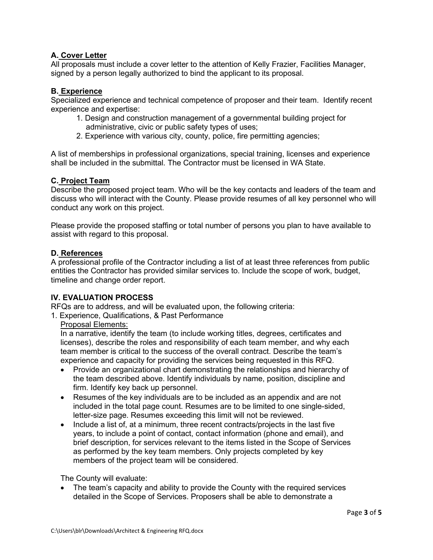# **A. Cover Letter**

All proposals must include a cover letter to the attention of Kelly Frazier, Facilities Manager, signed by a person legally authorized to bind the applicant to its proposal.

# **B. Experience**

Specialized experience and technical competence of proposer and their team. Identify recent experience and expertise:

- 1. Design and construction management of a governmental building project for administrative, civic or public safety types of uses;
- 2. Experience with various city, county, police, fire permitting agencies;

A list of memberships in professional organizations, special training, licenses and experience shall be included in the submittal. The Contractor must be licensed in WA State.

# **C. Project Team**

Describe the proposed project team. Who will be the key contacts and leaders of the team and discuss who will interact with the County. Please provide resumes of all key personnel who will conduct any work on this project.

Please provide the proposed staffing or total number of persons you plan to have available to assist with regard to this proposal.

# **D. References**

A professional profile of the Contractor including a list of at least three references from public entities the Contractor has provided similar services to. Include the scope of work, budget, timeline and change order report.

# **IV. EVALUATION PROCESS**

RFQs are to address, and will be evaluated upon, the following criteria:

1. Experience, Qualifications, & Past Performance

# Proposal Elements:

In a narrative, identify the team (to include working titles, degrees, certificates and licenses), describe the roles and responsibility of each team member, and why each team member is critical to the success of the overall contract. Describe the team's experience and capacity for providing the services being requested in this RFQ.

- Provide an organizational chart demonstrating the relationships and hierarchy of the team described above. Identify individuals by name, position, discipline and firm. Identify key back up personnel.
- Resumes of the key individuals are to be included as an appendix and are not included in the total page count. Resumes are to be limited to one single-sided, letter-size page. Resumes exceeding this limit will not be reviewed.
- Include a list of, at a minimum, three recent contracts/projects in the last five years, to include a point of contact, contact information (phone and email), and brief description, for services relevant to the items listed in the Scope of Services as performed by the key team members. Only projects completed by key members of the project team will be considered.

The County will evaluate:

• The team's capacity and ability to provide the County with the required services detailed in the Scope of Services. Proposers shall be able to demonstrate a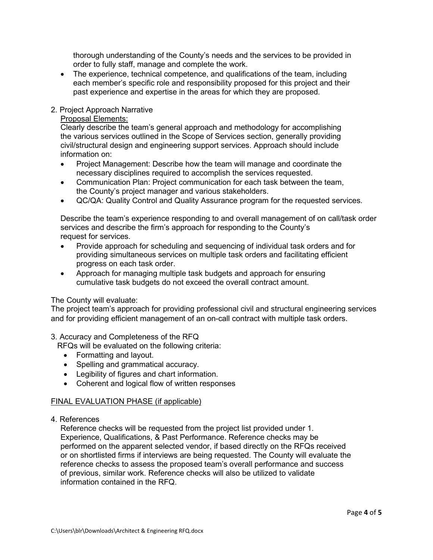thorough understanding of the County's needs and the services to be provided in order to fully staff, manage and complete the work.

• The experience, technical competence, and qualifications of the team, including each member's specific role and responsibility proposed for this project and their past experience and expertise in the areas for which they are proposed.

# 2. Project Approach Narrative

# Proposal Elements:

Clearly describe the team's general approach and methodology for accomplishing the various services outlined in the Scope of Services section, generally providing civil/structural design and engineering support services. Approach should include information on:

- Project Management: Describe how the team will manage and coordinate the necessary disciplines required to accomplish the services requested.
- Communication Plan: Project communication for each task between the team, the County's project manager and various stakeholders.
- QC/QA: Quality Control and Quality Assurance program for the requested services.

Describe the team's experience responding to and overall management of on call/task order services and describe the firm's approach for responding to the County's request for services.

- Provide approach for scheduling and sequencing of individual task orders and for providing simultaneous services on multiple task orders and facilitating efficient progress on each task order.
- Approach for managing multiple task budgets and approach for ensuring cumulative task budgets do not exceed the overall contract amount.

# The County will evaluate:

The project team's approach for providing professional civil and structural engineering services and for providing efficient management of an on-call contract with multiple task orders.

3. Accuracy and Completeness of the RFQ

RFQs will be evaluated on the following criteria:

- Formatting and layout.
- Spelling and grammatical accuracy.
- Legibility of figures and chart information.
- Coherent and logical flow of written responses

# FINAL EVALUATION PHASE (if applicable)

4. References

Reference checks will be requested from the project list provided under 1. Experience, Qualifications, & Past Performance. Reference checks may be performed on the apparent selected vendor, if based directly on the RFQs received or on shortlisted firms if interviews are being requested. The County will evaluate the reference checks to assess the proposed team's overall performance and success of previous, similar work. Reference checks will also be utilized to validate information contained in the RFQ.